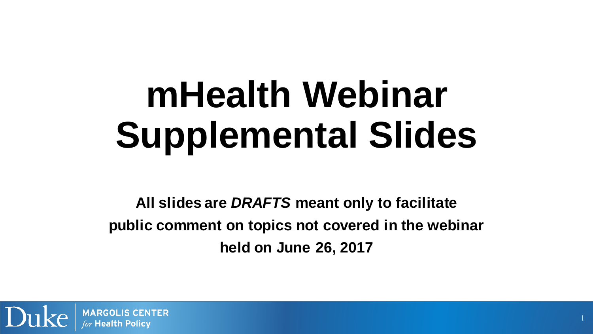# **mHealth Webinar Supplemental Slides**

 **All slides are** *DRAFTS* **meant only to facilitate public comment on topics not covered in the webinar held on June 26, 2017**

1

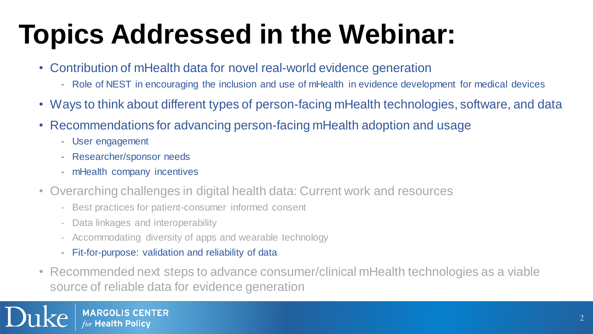### **Topics Addressed in the Webinar:**

- Contribution of mHealth data for novel real-world evidence generation
	- Role of NEST in encouraging the inclusion and use of mHealth in evidence development for medical devices
- Ways to think about different types of person-facing mHealth technologies, software, and data
- Recommendations for advancing person-facing mHealth adoption and usage
	- User engagement
	- Researcher/sponsor needs
	- mHealth company incentives
- • Overarching challenges in digital health data: Current work and resources
	- Best practices for patient-consumer informed consent
	- Data linkages and interoperability
	- Accommodating diversity of apps and wearable technology
	- Fit-for-purpose: validation and reliability of data
- • Recommended next steps to advance consumer/clinical mHealth technologies as a viable source of reliable data for evidence generation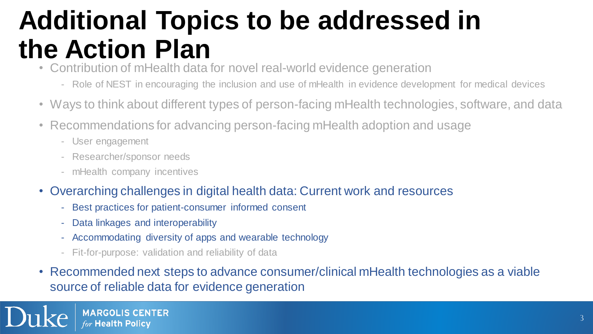### **Additional Topics to be addressed in the Action Plan**

- Contribution of mHealth data for novel real-world evidence generation
	- Role of NEST in encouraging the inclusion and use of mHealth in evidence development for medical devices
- Ways to think about different types of person-facing mHealth technologies, software, and data
- Recommendations for advancing person-facing mHealth adoption and usage
	- User engagement
	- Researcher/sponsor needs
	- mHealth company incentives
- • Overarching challenges in digital health data: Current work and resources
	- Best practices for patient-consumer informed consent
	- Data linkages and interoperability
	- Accommodating diversity of apps and wearable technology
	- Fit-for-purpose: validation and reliability of data
- • Recommended next steps to advance consumer/clinical mHealth technologies as a viable source of reliable data for evidence generation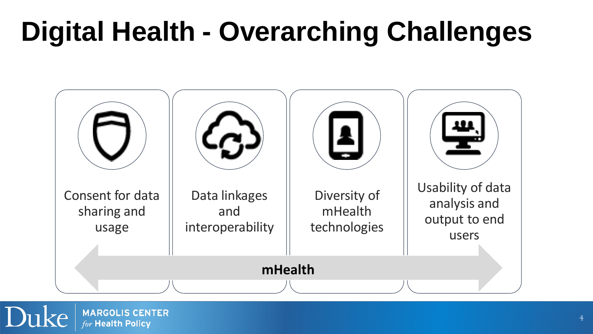### **Digital Health - Overarching Challenges**

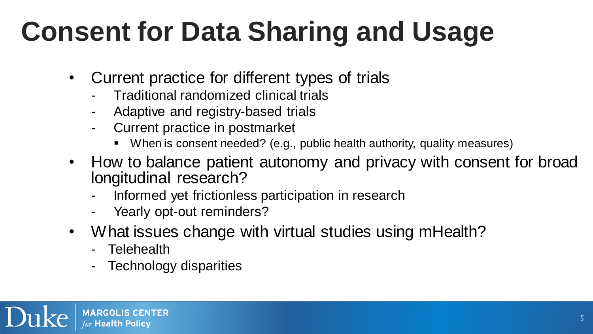### **Consent for Data Sharing and Usage**

- • Current practice for different types of trials
	- Traditional randomized clinical trials
	- Adaptive and registry-based trials -
	- Current practice in postmarket
		- When is consent needed? (e.g., public health authority, quality measures)
- • How to balance patient autonomy and privacy with consent for broad longitudinal research?
	- Informed yet frictionless participation in research
	- Yearly opt-out reminders?
- • What issues change with virtual studies using mHealth?
	- Telehealth
	- Technology disparities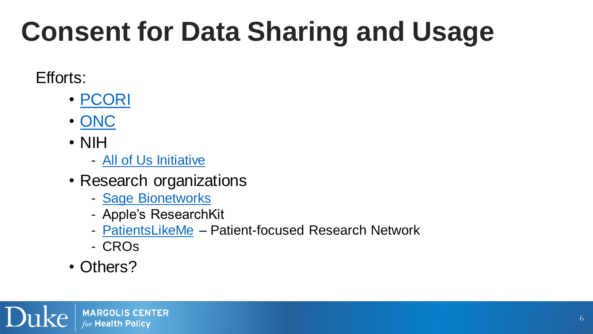### **Consent for Data Sharing and Usage**

#### Efforts:

- [PCORI](https://www.pcori.org/sites/default/files/PCORI-Users-Guide-To-Integrating-PROs-in-EHRs-Question-11-Day1.pdf)
- [ONC](https://www.healthit.gov/sites/default/files/privacy-security/ecm_finalreport_forrelease62415.pdf)
- NIH
	- [All of Us Initiative](https://allofus.nih.gov/sites/default/files/privacy-trust-principles.pdf)
- Research organizations
	- [Sage Bionetworks](http://sharethejourneyapp.org/sharethejourney/privacy.html)
	- Apple's ResearchKit
	- **PatientsLikeMe** Patient-focused Research Network
	- CROs
- Others?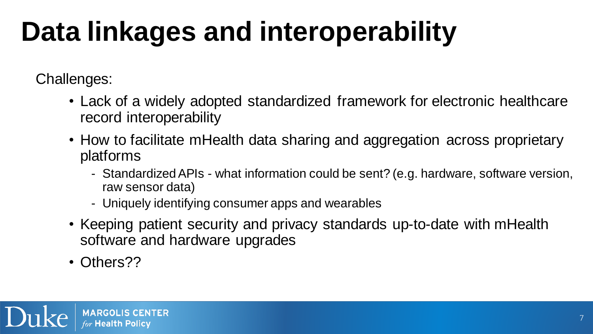## **Data linkages and interoperability**

Challenges:

- Lack of a widely adopted standardized framework for electronic healthcare record interoperability
- How to facilitate mHealth data sharing and aggregation across proprietary platforms
	- - Standardized APIs what information could be sent? (e.g. hardware, software version, raw sensor data)
	- Uniquely identifying consumer apps and wearables
- Keeping patient security and privacy standards up-to-date with mHealth software and hardware upgrades
- Others??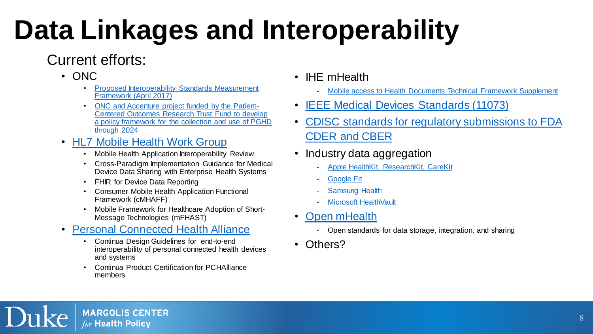### **Data Linkages and Interoperability**

#### Current efforts:

- 
- ONC<br>• Proposed Interoperability Standards Measurement Framework (April 2017)
	- ONC and Accenture project funded by the Patient- Centered Outcomes Research Trust Fund to develop a policy framework for the collection and use of PGHD through 2024
- HL7 Mobile Health Work Group<br>• Mobile Health Application Interoperability Review
	-
	- • Cross-Paradigm Implementation Guidance for Medical Device Data Sharing with Enterprise Health Systems
	- FHIR for Device Data Reporting
	- • Consumer Mobile Health Application Functional Framework (cMHAFF)
	- • Mobile Framework for Healthcare Adoption of Short-Message Technologies (mFHAST)
- Personal Connected Health Alliance<br>• Continua Design Guidelines for end-to-end
	- Continua Design Guidelines for end-to-end interoperability of personal connected health devices and systems
	- • Continua Product Certification for PCHAlliance members
- IHE mHealth
	- Mobile access to Health Documents Technical Framework Supplement
- **IEEE Medical Devices Standards (11073)**
- CDISC standards for regulatory submissions to FDA CDER and CBER
- Industry data aggregation
	- [Apple HealthKit, ResearchKit, CareKit](https://www.apple.com/researchkit/)
	- [Google Fit](https://www.google.com/fit/)
	- **[Samsung Health](https://health.apps.samsung.com/)**
	- [Microsoft HealthVault](https://www.healthvault.com/en-us/)
- **Open mHealth** 
	- Open standards for data storage, integration, and sharing
- Others?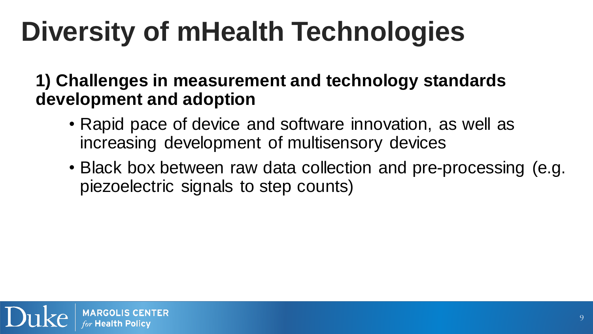## **Diversity of mHealth Technologies**

 **1) Challenges in measurement and technology standards development and adoption**

- • Rapid pace of device and software innovation, as well as increasing development of multisensory devices
- • Black box between raw data collection and pre-processing (e.g. piezoelectric signals to step counts)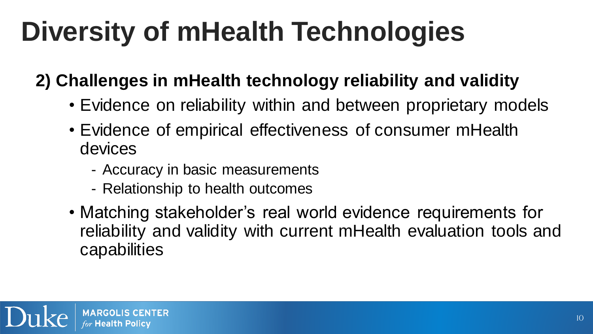## **Diversity of mHealth Technologies**

 **2) Challenges in mHealth technology reliability and validity** 

- Evidence on reliability within and between proprietary models
- • Evidence of empirical effectiveness of consumer mHealth devices
	- Accuracy in basic measurements
	- Relationship to health outcomes
- • Matching stakeholder's real world evidence requirements for reliability and validity with current mHealth evaluation tools and capabilities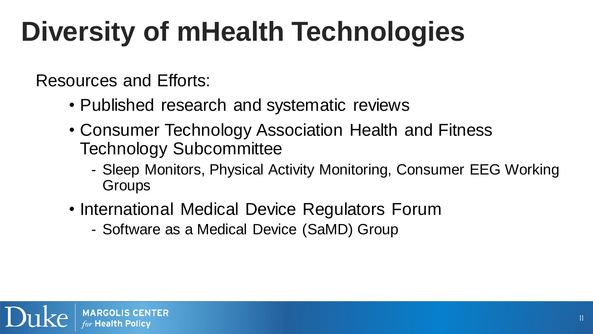## **Diversity of mHealth Technologies**

Resources and Efforts:

- Published research and systematic reviews
- • Consumer Technology Association Health and Fitness Technology Subcommittee
	- - Sleep Monitors, Physical Activity Monitoring, Consumer EEG Working **Groups**
- • International Medical Device Regulators Forum
	- Software as a Medical Device (SaMD) Group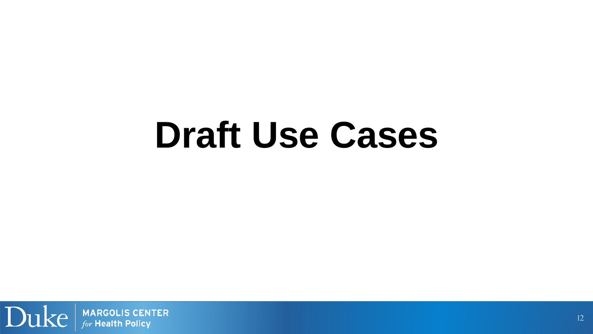# **Draft Use Cases**

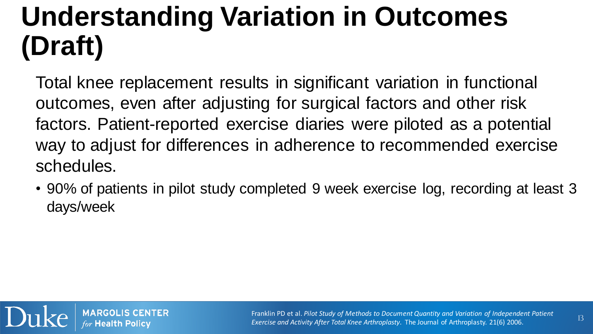### **Understanding Variation in Outcomes (Draft)**

 Total knee replacement results in significant variation in functional outcomes, even after adjusting for surgical factors and other risk factors. Patient-reported exercise diaries were piloted as a potential way to adjust for differences in adherence to recommended exercise schedules.

• 90% of patients in pilot study completed 9 week exercise log, recording at least 3 days/week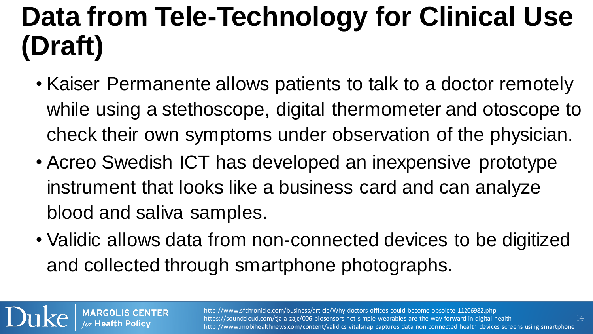### **Data from Tele-Technology for Clinical Use (Draft)**

- • Kaiser Permanente allows patients to talk to a doctor remotely while using a stethoscope, digital thermometer and otoscope to check their own symptoms under observation of the physician.
- • Acreo Swedish ICT has developed an inexpensive prototype instrument that looks like a business card and can analyze blood and saliva samples.
- • Validic allows data from non-connected devices to be digitized and collected through smartphone photographs.

 $\mathrm{ulke}\left\vert$  MARGOLIS CENTER

http://www.sfchronicle.com/business/article/Why doctors offices could become obsolete 11206982.php MARGOLIS CENTER http://www.sfchronicle.com/business/article/Why doctors offices could become obsolete 11206982.php<br>for Health Policy https://soundcloud.com/tja a zajc/006 biosensors not simple wearables are the way forward https://soundcloud.com/tja a zajc/006 biosensors not simple wearables are the way forward in digital health

14